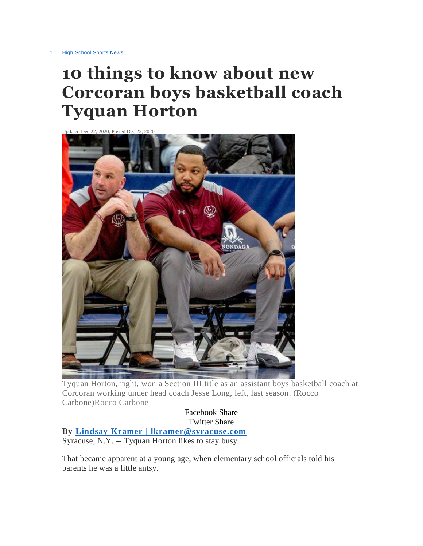# **10 things to know about new Corcoran boys basketball coach Tyquan Horton**



Tyquan Horton, right, won a Section III title as an assistant boys basketball coach at Corcoran working under head coach Jesse Long, left, last season. (Rocco Carbone)Rocco Carbone

Facebook Share Twitter Share **By Lindsay Kramer | [lkramer@syracuse.com](http://connect.syracuse.com/staff/lkramer/posts.html)** Syracuse, N.Y. -- Tyquan Horton likes to stay busy.

That became apparent at a young age, when elementary school officials told his parents he was a little antsy.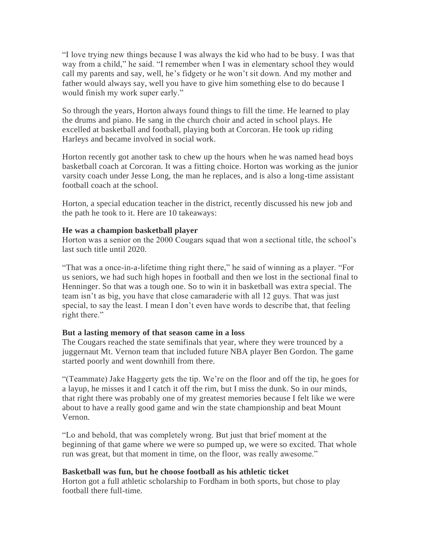"I love trying new things because I was always the kid who had to be busy. I was that way from a child," he said. "I remember when I was in elementary school they would call my parents and say, well, he's fidgety or he won't sit down. And my mother and father would always say, well you have to give him something else to do because I would finish my work super early."

So through the years, Horton always found things to fill the time. He learned to play the drums and piano. He sang in the church choir and acted in school plays. He excelled at basketball and football, playing both at Corcoran. He took up riding Harleys and became involved in social work.

Horton recently got another task to chew up the hours when he was named head boys basketball coach at Corcoran. It was a fitting choice. Horton was working as the junior varsity coach under Jesse Long, the man he replaces, and is also a long-time assistant football coach at the school.

Horton, a special education teacher in the district, recently discussed his new job and the path he took to it. Here are 10 takeaways:

#### **He was a champion basketball player**

Horton was a senior on the 2000 Cougars squad that won a sectional title, the school's last such title until 2020.

"That was a once-in-a-lifetime thing right there," he said of winning as a player. "For us seniors, we had such high hopes in football and then we lost in the sectional final to Henninger. So that was a tough one. So to win it in basketball was extra special. The team isn't as big, you have that close camaraderie with all 12 guys. That was just special, to say the least. I mean I don't even have words to describe that, that feeling right there."

#### **But a lasting memory of that season came in a loss**

The Cougars reached the state semifinals that year, where they were trounced by a juggernaut Mt. Vernon team that included future NBA player Ben Gordon. The game started poorly and went downhill from there.

"(Teammate) Jake Haggerty gets the tip. We're on the floor and off the tip, he goes for a layup, he misses it and I catch it off the rim, but I miss the dunk. So in our minds, that right there was probably one of my greatest memories because I felt like we were about to have a really good game and win the state championship and beat Mount Vernon.

"Lo and behold, that was completely wrong. But just that brief moment at the beginning of that game where we were so pumped up, we were so excited. That whole run was great, but that moment in time, on the floor, was really awesome."

# **Basketball was fun, but he choose football as his athletic ticket**

Horton got a full athletic scholarship to Fordham in both sports, but chose to play football there full-time.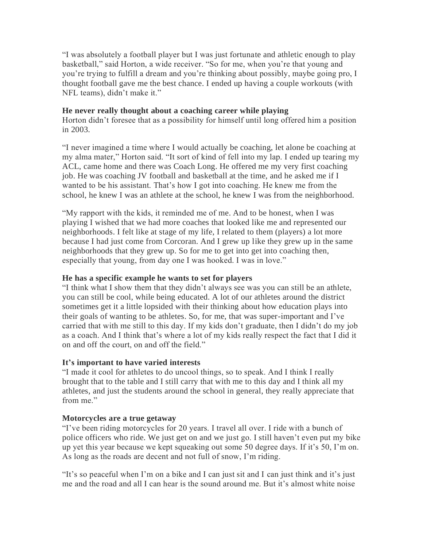"I was absolutely a football player but I was just fortunate and athletic enough to play basketball," said Horton, a wide receiver. "So for me, when you're that young and you're trying to fulfill a dream and you're thinking about possibly, maybe going pro, I thought football gave me the best chance. I ended up having a couple workouts (with NFL teams), didn't make it."

#### **He never really thought about a coaching career while playing**

Horton didn't foresee that as a possibility for himself until long offered him a position in 2003.

"I never imagined a time where I would actually be coaching, let alone be coaching at my alma mater," Horton said. "It sort of kind of fell into my lap. I ended up tearing my ACL, came home and there was Coach Long. He offered me my very first coaching job. He was coaching JV football and basketball at the time, and he asked me if I wanted to be his assistant. That's how I got into coaching. He knew me from the school, he knew I was an athlete at the school, he knew I was from the neighborhood.

"My rapport with the kids, it reminded me of me. And to be honest, when I was playing I wished that we had more coaches that looked like me and represented our neighborhoods. I felt like at stage of my life, I related to them (players) a lot more because I had just come from Corcoran. And I grew up like they grew up in the same neighborhoods that they grew up. So for me to get into get into coaching then, especially that young, from day one I was hooked. I was in love."

# **He has a specific example he wants to set for players**

"I think what I show them that they didn't always see was you can still be an athlete, you can still be cool, while being educated. A lot of our athletes around the district sometimes get it a little lopsided with their thinking about how education plays into their goals of wanting to be athletes. So, for me, that was super-important and I've carried that with me still to this day. If my kids don't graduate, then I didn't do my job as a coach. And I think that's where a lot of my kids really respect the fact that I did it on and off the court, on and off the field."

# **It's important to have varied interests**

"I made it cool for athletes to do uncool things, so to speak. And I think I really brought that to the table and I still carry that with me to this day and I think all my athletes, and just the students around the school in general, they really appreciate that from me."

# **Motorcycles are a true getaway**

"I've been riding motorcycles for 20 years. I travel all over. I ride with a bunch of police officers who ride. We just get on and we just go. I still haven't even put my bike up yet this year because we kept squeaking out some 50 degree days. If it's 50, I'm on. As long as the roads are decent and not full of snow, I'm riding.

"It's so peaceful when I'm on a bike and I can just sit and I can just think and it's just me and the road and all I can hear is the sound around me. But it's almost white noise